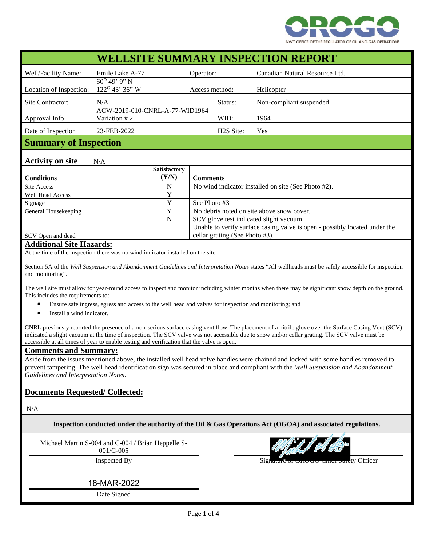

| <b>WELLSITE SUMMARY INSPECTION REPORT</b>     |                                |                     |                                         |                                                                            |                                |  |
|-----------------------------------------------|--------------------------------|---------------------|-----------------------------------------|----------------------------------------------------------------------------|--------------------------------|--|
| Well/Facility Name:                           | Emile Lake A-77                |                     | Operator:                               |                                                                            | Canadian Natural Resource Ltd. |  |
|                                               | $60^{\rm o}$ 49' 9" N          |                     |                                         |                                                                            |                                |  |
| Location of Inspection:                       | 122 <sup>0</sup> 43' 36" W     |                     | Access method:                          |                                                                            | Helicopter                     |  |
| Site Contractor:                              | N/A                            |                     |                                         | Status:                                                                    | Non-compliant suspended        |  |
|                                               | ACW-2019-010-CNRL-A-77-WID1964 |                     |                                         |                                                                            |                                |  |
| Approval Info                                 | Variation #2                   |                     |                                         | WID:                                                                       | 1964                           |  |
| Date of Inspection                            | 23-FEB-2022                    |                     |                                         | H <sub>2</sub> S Site:                                                     | Yes                            |  |
| <b>Summary of Inspection</b>                  |                                |                     |                                         |                                                                            |                                |  |
| <b>Activity on site</b>                       | N/A                            |                     |                                         |                                                                            |                                |  |
|                                               |                                | <b>Satisfactory</b> |                                         |                                                                            |                                |  |
| <b>Conditions</b>                             |                                | (Y/N)               |                                         | <b>Comments</b>                                                            |                                |  |
| Site Access                                   |                                | N                   |                                         | No wind indicator installed on site (See Photo #2).                        |                                |  |
| <b>Well Head Access</b>                       |                                | Y                   |                                         |                                                                            |                                |  |
| Signage                                       |                                | Y                   | See Photo #3                            |                                                                            |                                |  |
| General Housekeeping                          |                                | Y                   |                                         | No debris noted on site above snow cover.                                  |                                |  |
|                                               |                                | N                   | SCV glove test indicated slight vacuum. |                                                                            |                                |  |
|                                               |                                |                     |                                         | Unable to verify surface casing valve is open - possibly located under the |                                |  |
| SCV Open and dead                             |                                |                     | cellar grating (See Photo #3).          |                                                                            |                                |  |
| $\bf{A}$ <b>1122</b> $\bf{A}$ <b>1 024 IT</b> |                                |                     |                                         |                                                                            |                                |  |

## **Additional Site Hazards:**

At the time of the inspection there was no wind indicator installed on the site.

Section 5A of the *Well Suspension and Abandonment Guidelines and Interpretation Notes* states "All wellheads must be safely accessible for inspection and monitoring".

The well site must allow for year-round access to inspect and monitor including winter months when there may be significant snow depth on the ground. This includes the requirements to:

- Ensure safe ingress, egress and access to the well head and valves for inspection and monitoring; and
- Install a wind indicator.

CNRL previously reported the presence of a non-serious surface casing vent flow. The placement of a nitrile glove over the Surface Casing Vent (SCV) indicated a slight vacuum at the time of inspection. The SCV valve was not accessible due to snow and/or cellar grating. The SCV valve must be accessible at all times of year to enable testing and verification that the valve is open.

## **Comments and Summary:**

Aside from the issues mentioned above, the installed well head valve handles were chained and locked with some handles removed to prevent tampering. The well head identification sign was secured in place and compliant with the *Well Suspension and Abandonment Guidelines and Interpretation Notes*.

## **Documents Requested/ Collected:**

N/A

**Inspection conducted under the authority of the Oil & Gas Operations Act (OGOA) and associated regulations.**

Michael Martin S-004 and C-004 / Brian Heppelle S-

001/C-005

18-MAR-2022

Date Signed



Inspected By Signature of OROGO Chief Safety Officer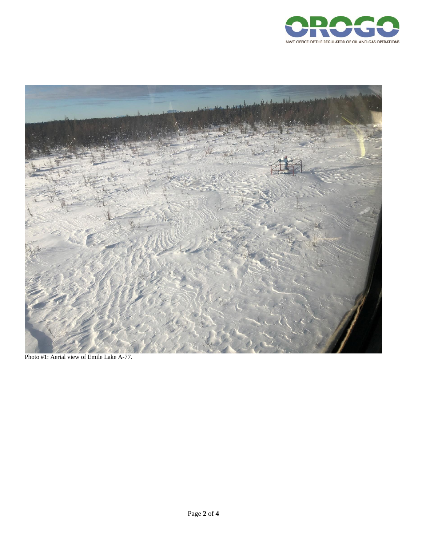



Photo #1: Aerial view of Emile Lake A-77.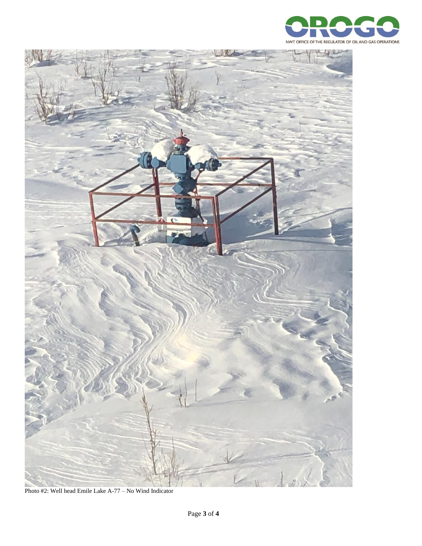



Photo #2: Well head Emile Lake A-77 – No Wind Indicator